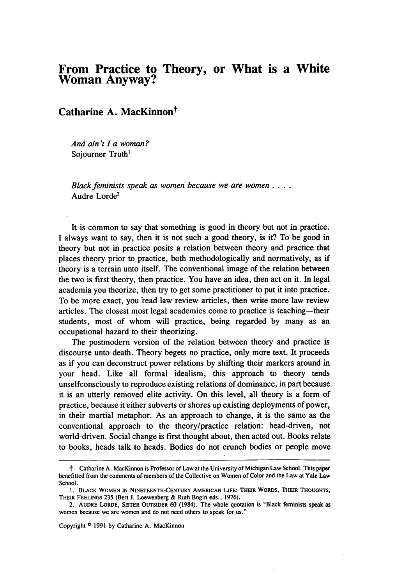## **From Practice to Theory, or What is a White Woman Anyway?**

**Catharine A. MacKinnon <sup>t</sup>**

*And ain't I a woman?* Sojourner Truth'

*Black feminists speak as women because we are women ....* Audre Lorde2

It is common to say that something is good in theory but not in practice. **I** always want to say, then it is not such a good theory, is it? To be good in theory but not in practice posits a relation between theory and practice that places theory prior to practice, both methodologically and normatively, as if theory is a terrain unto itself. The conventional image of the relation between the two is first theory, then practice. You have an idea, then act on it. In legal academia you theorize, then try to get some practitioner to put it into practice. To be more exact, you read law review articles, then write more law review articles. The closest most legal academics come to practice is teaching-their students, most of whom will practice, being regarded **by** many as an occupational hazard to their theorizing.

The postmodern version of the relation between theory and practice is discourse unto death. Theory begets no practice, only more text. It proceeds as if you can deconstruct power relations **by** shifting their markers around in your head. Like all formal idealism, this approach to theory tends unselfconsciously to reproduce existing relations of dominance, in part because it is an utterly removed elite activity. On this level, all theory is a form of practice, because it either subverts or shores up existing deployments of power, in their martial metaphor. As an approach to change, it is the same as the conventional approach to the theory/practice relation: head-driven, not world-driven. Social change is first thought about, then acted out. Books relate to books, heads talk to heads. Bodies do not crunch bodies or people move

t Catharine **A.** MacKinnon is Professor of Law at the University of Michigan Law School. This paper benefitted from the comments of members of the Collective on Women of Color and the Law at Yale Law School.

**<sup>1.</sup>** BLACK **WOMEN IN NINETEENTH-CENTURY AMERICAN LIFE: THEIR** WORDS, **THEIR THOUGHTS, THEIR FEELINGS 235** (Bert **J.** Loewenberg **&** Ruth Bogin eds., **1976).**

<sup>2.</sup> **AUDRE** LORDE, SISTER **OUTSIDER 60** (1984). The whole quotation is "Black feminists speak as women because we are women and do not need others to speak for us."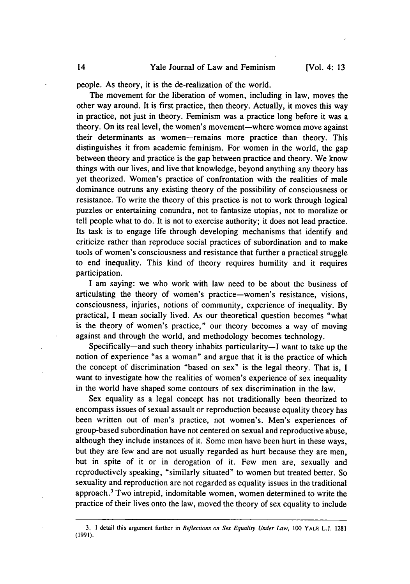people. As theory, it is the de-realization of the world.

The movement for the liberation of women, including in law, moves the other way around. It is first practice, then theory. Actually, it moves this way in practice, not just in theory. Feminism was a practice long before it was a theory. On its real level, the women's movement—where women move against their determinants as women-remains more practice than theory. This distinguishes it from academic feminism. For women in the world, the gap between theory and practice is the gap between practice and theory. We know things with our lives, and live that knowledge, beyond anything any theory has yet theorized. Women's practice of confrontation with the realities of male dominance outruns any existing theory of the possibility of consciousness or resistance. To write the theory of this practice is not to work through logical puzzles or entertaining conundra, not to fantasize utopias, not to moralize or tell people what to do. It is not to exercise authority; it does not lead practice. Its task is to engage life through developing mechanisms that identify and criticize rather than reproduce social practices of subordination and to make tools of women's consciousness and resistance that further a practical struggle to end inequality. This kind of theory requires humility and it requires participation.

I am saying: we who work with law need to be about the business of articulating the theory of women's practice-women's resistance, visions, consciousness, injuries, notions of community, experience of inequality. By practical, I mean socially lived. As our theoretical question becomes "what is the theory of women's practice," our theory becomes a way of moving against and through the world, and methodology becomes technology.

Specifically-and such theory inhabits particularity-I want to take up the notion of experience "as a woman" and argue that it is the practice of which the concept of discrimination "based on sex" is the legal theory. That is, I want to investigate how the realities of women's experience of sex inequality in the world have shaped some contours of sex discrimination in the law.

Sex equality as a legal concept has not traditionally been theorized to encompass issues of sexual assault or reproduction because equality theory has been written out of men's practice, not women's. Men's experiences of group-based subordination have not centered on sexual and reproductive abuse, although they include instances of it. Some men have been hurt in these ways, but they are few and are not usually regarded as hurt because they are men, but in spite of it or in derogation of it. Few men are, sexually and reproductively speaking, "similarly situated" to women but treated better. So sexuality and reproduction are not regarded as equality issues in the traditional approach.3 Two intrepid, indomitable women, women determined to write the practice of their lives onto the law, moved the theory of sex equality to include

**<sup>3.</sup> I** detail this argument further in *Reflections on Sex Equality Under Law,* 100 YALE **L.J.** 1281 (1991).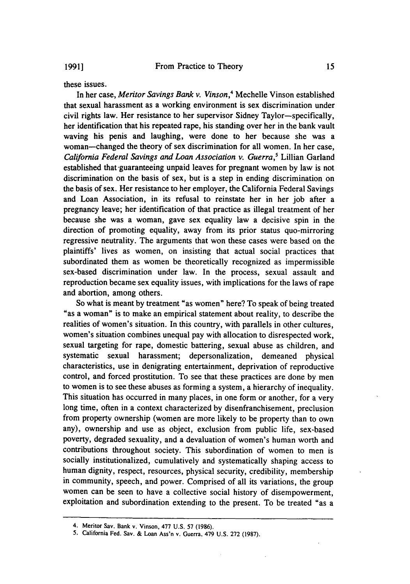these issues.

In her case, *Meritor Savings Bank v. Vinson,4* Mechelle Vinson established that sexual harassment as a working environment is sex discrimination under civil rights law. Her resistance to her supervisor Sidney Taylor-specifically, her identification that his repeated rape, his standing over her in the bank vault waving his penis and laughing, were done to her because she was a woman-changed the theory of sex discrimination for all women. In her case, *California Federal Savings and Loan Association v. Guerra,5* Lillian Garland established that guaranteeing unpaid leaves for pregnant women by law is not discrimination on the basis of sex, but is a step in ending discrimination on the basis of sex. Her resistance to her employer, the California Federal Savings and Loan Association, in its refusal to reinstate her in her job after a pregnancy leave; her identification of that practice as illegal treatment of her because she was a woman, gave sex equality law a decisive spin in the direction of promoting equality, away from its prior status quo-mirroring regressive neutrality. The arguments that won these cases were based on the plaintiffs' lives as women, on insisting that actual social practices that subordinated them as women be theoretically recognized as impermissible sex-based discrimination under law. In the process, sexual assault and reproduction became sex equality issues, with implications for the laws of rape and abortion, among others.

So what is meant by treatment "as women" here? To speak of being treated "as a woman" is to make an empirical statement about reality, to describe the realities of women's situation. In this country, with parallels in other cultures, women's situation combines unequal pay with allocation to disrespected work, sexual targeting for rape, domestic battering, sexual abuse as children, and systematic sexual harassment; depersonalization, demeaned physical characteristics, use in denigrating entertainment, deprivation of reproductive control, and forced prostitution. To see that these practices are done by men to women is to see these abuses as forming a system, a hierarchy of inequality. This situation has occurred in many places, in one form or another, for a very long time, often in a context characterized by disenfranchisement, preclusion from property ownership (women are more likely to be property than to own any), ownership and use as object, exclusion from public life, sex-based poverty, degraded sexuality, and a devaluation of women's human worth and contributions throughout society. This subordination of women to men is socially institutionalized, cumulatively and systematically shaping access to human dignity, respect, resources, physical security, credibility, membership in community, speech, and power. Comprised of all its variations, the group women can be seen to have a collective social history of disempowerment, exploitation and subordination extending to the present. To be treated "as a

<sup>4.</sup> Meritor Say. Bank v. Vinson, 477 U.S. 57 (1986).

<sup>5.</sup> California Fed. Say. & Loan Ass'n v. Guerra. 479 U.S. 272 (1987).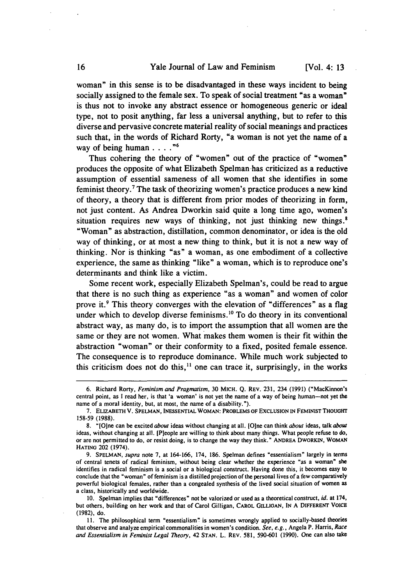woman" in this sense is to be disadvantaged in these ways incident to being socially assigned to the female sex. To speak of social treatment "as a woman" is thus not to invoke any abstract essence or homogeneous generic or ideal type, not to posit anything, far less a universal anything, but to refer to this diverse and pervasive concrete material reality of social meanings and practices such that, in the words of Richard Rorty, "a woman is not yet the name of a way of being human . **.** . **."6**

Thus cohering the theory of "women" out of the practice of "women" produces the opposite of what Elizabeth Spelmanhas criticized as a reductive assumption of essential sameness of all women that she identifies in some feminist theory.7 The task of theorizing women's practice produces a new kind of theory, a theory that is different from prior modes of theorizing in form, not just content. As Andrea Dworkin said quite a long time ago, women's situation requires new ways of thinking, not just thinking new things. $8$ "Woman" as abstraction, distillation, common denominator, or idea is the old way of thinking, or at most a new thing to think, but it is not a new way of thinking. Nor is thinking "as" a woman, as one embodiment of a collective experience, the same as thinking "like" a woman, which is to reproduce one's determinants and think like a victim.

Some recent work, especially Elizabeth Spelman's, could be read to argue that there is no such thing as experience "as a woman" and women of color prove it.<sup>9</sup> This theory converges with the elevation of "differences" as a flag under which to develop diverse feminisms.<sup>10</sup> To do theory in its conventional abstract way, as many do, is to import the assumption that all women are the same or they are not women. What makes them women is their fit within the abstraction "woman" or their conformity to a fixed, posited female essence. The consequence is to reproduce dominance. While much work subjected to this criticism does not do this, $<sup>11</sup>$  one can trace it, surprisingly, in the works</sup>

<sup>6.</sup> Richard Rorty, *Feminism and Pragmatism,* **30** MICH. Q. REV. **231, 234 (1991)** ("MacKinnon's central point, as I read her, is that 'a woman' is not yet the name of a way of being human-not yet the name of a moral identity, but, at most, the name of a disability.").

**<sup>7.</sup> ELIZABETH V. SPELMAN,** INESSENTIAL **WOMAN: PROBLEMS OF EXcLUSION** IN **FEMINIST THOUGHT** 158-59 (1988).

<sup>8. &</sup>quot;[O]ne can be excited *about* ideas without changing at all. [O]ne can think *about* ideas, talk *about* ideas, without changing at all. [Pleople are willing to think about many things. What people refuse to do, or are not permitted to do, or resist doing, is to change the way they think." ANDREA DWORKIN, WOMAN HATING 202 (1974).

<sup>9.</sup> **SPELMAN,** *supra* note 7, at 164-166, 174, 186. Spelman defines "essentialism" largely in terms of central tenets of radical feminism, without being clear whether the experience "as a woman" she identifies in radical feminism is a social or a biological construct. Having done this, it becomes easy to conclude that the "woman" of feminism is a distilled projection of the personal lives of a few comparatively powerful biological females, rather than a congealed synthesis of the lived social situation of women as a class, historically and worldwide.

<sup>10.</sup> Spelman implies that "differences" not be valorized or used as a theoretical construct, *id.* at 174, but others, building on her work and that of Carol Gilligan, CAROL GILLIGAN, IN A DIFFERENT VOICE (1982), do.

<sup>11.</sup> The philosophical term "essentialism" is sometimes wrongly applied to socially-based theories that observe and analyze empirical commonalities in women's condition. *See, e.g.,* Angela P. Harris, *Race and Essentialism in Feminist Legal Theory,* 42 **STAN.** L. REV. **581, 590-601** (1990). One can also take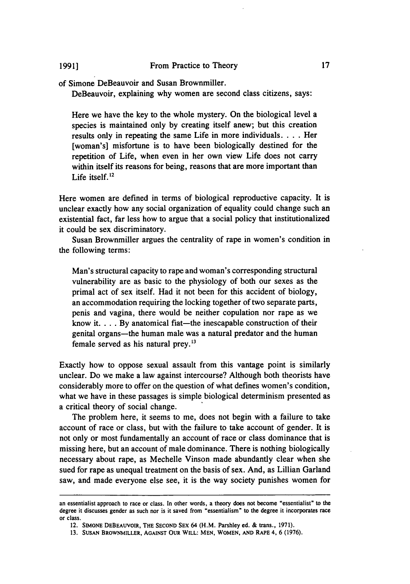of Simone DeBeauvoir and Susan Brownmiller.

**1991]**

DeBeauvoir, explaining why women are second class citizens, says:

Here we have the key to the whole mystery. On the biological level a species is maintained only by creating itself anew; but this creation results only in repeating the same Life in more individuals. . **.** . Her [woman's] misfortune is to have been biologically destined for the repetition of Life, when even in her own view Life does not carry within itself its reasons for being, reasons that are more important than Life itself.<sup>12</sup>

Here women are defined in terms of biological reproductive capacity. It is unclear exactly how any social organization of equality could change such an existential fact, far less how to argue that a social policy that institutionalized it could be sex discriminatory.

Susan Brownmiller argues the centrality of rape in women's condition in the following terms:

Man's structural capacity to rape and woman's corresponding structural vulnerability are as basic to the physiology of both our sexes as the primal act of sex itself. Had it not been for this accident of biology, an accommodation requiring the locking together of two separate parts, penis and vagina, there would be neither copulation nor rape as we know it.... By anatomical fiat-the inescapable construction of their genital organs--the human male was a natural predator and the human female served as his natural prey.<sup>13</sup>

Exactly how to oppose sexual assault from this vantage point is similarly unclear. Do we make a law against intercourse? Although both theorists have considerably more to offer on the question of what defines women's condition, what we have in these passages is simple biological determinism presented as a critical theory of social change.

The problem here, it seems to me, does not begin with a failure to take account of race or class, but with the failure to take account of gender. It is not only or most fundamentally an account of race or class dominance that is missing here, but an account of male dominance. There is nothing biologically necessary about rape, as Mechelle Vinson made abundantly clear when she sued for rape as unequal treatment on the basis of sex. And, as Lillian Garland saw, and made everyone else see, it is the way society punishes women for

an essentialist approach to race or class. In other words, a theory does not become "essentialist" to the degree it discusses gender as such nor is it saved from "essentialism" to the degree it incorporates race or class.

<sup>12.</sup> **SIMONE DEBEAUVOIR, THE SECOND** SEX 64 (H.M. Parshley ed. & trans., 1971).

**<sup>13.</sup> SUSAN BROWNMILLER, AGAINST OUR WILL: MEN, WOMEN, AND RAPE 4, 6 (1976).**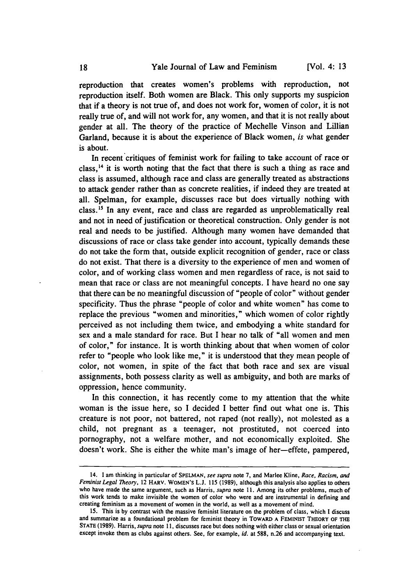reproduction that creates women's problems with reproduction, not reproduction itself. Both women are Black. This only supports my suspicion that if a theory is not true of, and does not work for, women of color, it is not really true of, and will not work for, any women, and that it is not really about gender at all. The theory of the practice of Mechelle Vinson and Lillian Garland, because it is about the experience of Black women, *is* what gender is about.

In recent critiques of feminist work for failing to take account of race or class, 14 it is worth noting that the fact that there is such a thing as race and class is assumed, although race and class are generally treated as abstractions to attack gender rather than as concrete realities, if indeed they are treated at all. Spelman, for example, discusses race but does virtually nothing with class.<sup>15</sup> In any event, race and class are regarded as unproblematically real and not in need of justification or theoretical construction. Only gender is not real and needs to be justified. Although many women have demanded that discussions of race or class take gender into account, typically demands these do not take the form that, outside explicit recognition of gender, race or class do not exist. That there is a diversity to the experience of men and women of color, and of working class women and men regardless of race, is not said to mean that race or class are not meaningful concepts. I have heard no one say that there can be no meaningful discussion of "people of color" without gender specificity. Thus the phrase "people of color and white women" has come to replace the previous "women and minorities," which women of color rightly perceived as not including them twice, and embodying a white standard for sex and a male standard for race. But I hear no talk of "all women and men of color," for instance. It is worth thinking about that when women of color refer to "people who look like me," it is understood that they mean people of color, not women, in spite of the fact that both race and sex are visual assignments, both possess clarity as well as ambiguity, and both are marks of oppression, hence community.

In this connection, it has recently come to my attention that the white woman is the issue here, so I decided I better find out what one is. This creature is not poor, not battered, not raped (not really), not molested as a child, not pregnant as a teenager, not prostituted, not coerced into pornography, not a welfare mother, and not economically exploited. She doesn't work. She is either the white man's image of her-effete, pampered,

<sup>14.</sup> **1** am thinking in particular **of SPELMAN,** see supra note **7,** and Marlee Kline, Race, *Racism, and Feminist Legal Theory,* 12 HARV. WOMEN'S **L.J.** 115 (1989), although this analysis also applies to others who have made the same argument, such as Harris, *supra* note 11. Among its other problems, much of this work tends to make invisible the women of color who were and are instrumental in defining and creating feminism as a movement of women in the world, as well as a movement of mind.

<sup>15.</sup> This is by contrast with the massive feminist literature on the problem of class, which I discuss and summarize as a foundational problem for feminist theory in TOWARD **A** FEMINIST THEORY **OF THE STATE** (1989). Harris, *supra* note 11, discusses race but does nothing with either class or sexual orientation except invoke them as clubs against others. See, for example, *id.* at **588,** n.26 and accompanying text.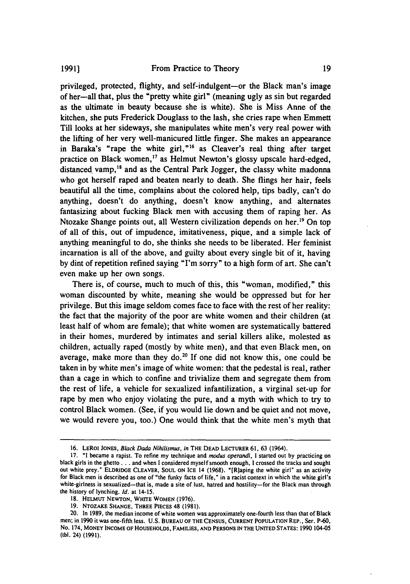privileged, protected, flighty, and self-indulgent-or the Black man's image of her-all that, plus the "pretty white girl" (meaning ugly as sin but regarded as the ultimate in beauty because she is white). She is Miss Anne of the kitchen, she puts Frederick Douglass to the lash, she cries rape when Emmett Till looks at her sideways, she manipulates white men's very real power with the lifting of her very well-manicured little finger. She makes an appearance in Baraka's "rape the white girl,"16 as Cleaver's real thing after target practice on Black women,<sup>17</sup> as Helmut Newton's glossy upscale hard-edged, distanced vamp,<sup>18</sup> and as the Central Park Jogger, the classy white madonna who got herself raped and beaten nearly to death. She flings her hair, feels beautiful all the time, complains about the colored help, tips badly, can't do anything, doesn't do anything, doesn't know anything, and alternates fantasizing about fucking Black men with accusing them of raping her. As Ntozake Shange points out, all Western civilization depends on her.<sup>19</sup> On top of all of this, out of impudence, imitativeness, pique, and a simple lack of anything meaningful to do, she thinks she needs to be liberated. Her feminist incarnation is all of the above, and guilty about every single bit of it, having **by** dint of repetition refined saying "I'm sorry" to a high form of art. She can't even make up her own songs.

There is, of course, much to much of this, this "woman, modified," this woman discounted **by** white, meaning she would be oppressed but for her privilege. But this image seldom comes face to face with the rest of her reality: the fact that the majority of the poor are white women and their children (at least half of whom are female); that white women are systematically battered in their homes, murdered **by** intimates and serial killers alike, molested as children, actually raped (mostly **by** white men), and that even Black men, on average, make more than they do.<sup>20</sup> If one did not know this, one could be taken in **by** white men's image of white women: that the pedestal is real, rather than a cage in which to confine and trivialize them and segregate them from the rest of life, a vehicle for sexualized infantilization, a virginal set-up for rape **by** men who enjoy violating the pure, and a myth with which to try to control Black women. (See, if you would lie down and be quiet and not move, we would revere you, too.) One would think that the white men's myth that

**<sup>16.</sup>** LEROI **JONES,** Black Dada Nihilismus, in **THE DEAD LECTURER 61, 63** (1964).

**<sup>17. &</sup>quot;1** became a rapist. To refine my technique and *modus operandi,* I started out **by** practicing on black girls in the ghetto **...** and when **I** considered myself smooth enough, I crossed the tracks and sought out white prey." ELDRIDGE CLEAVER, **SOUL ON** ICE 14 (1968). "[Rlaping the white girl" as an activity for Black men is described as one of "the funky facts of life," in a racist context in which the white girl's white-girlness is sexualized-that is, made a site of lust, hatred and hostility-for the Black man through the history of lynching. *Id.* at 14-15.

**<sup>18.</sup>** HELMUT NEWTON, **WHITE** WOMEN (1976).

**<sup>19.</sup>** NTOZAKE SHANGE, THREE PIECES 48 (1981).

<sup>20.</sup> In **1989,** the median income of white women was approximately one-fourth less than that of Black men; in 1990 it was one-fifth less. **U.S. BUREAU OF** THE **CENSUS,** CURRENT POPULATION REP., Ser. P-60, **No.** 174, MONEY INCOME OF HOUSEHOLDS, FAMILIES, **AND PERSONS** IN THE UNITED STATES: 1990 104-05 (tbl. 24) (1991).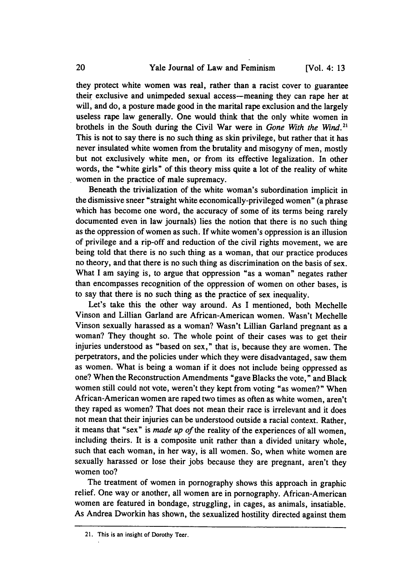they protect white women was real, rather than a racist cover to guarantee their exclusive and unimpeded sexual access-meaning they can rape her at will, and do, a posture made good in the marital rape exclusion and the largely useless rape law generally. One would think that the only white women in brothels in the South during the Civil War were in *Gone With the Wind.<sup>2</sup>* This is not to say there is no such thing as skin privilege, but rather that it has never insulated white women from the brutality and misogyny of men, mostly but not exclusively white men, or from its effective legalization. In other words, the "white girls" of this theory miss quite a lot of the reality of white women in the practice of male supremacy.

Beneath the trivialization of the white woman's subordination implicit in the dismissive sneer "straight white economically-privileged women" (a phrase which has become one word, the accuracy of some of its terms being rarely documented even in law journals) lies the notion that there is no such thing as the oppression of women as such. If white women's oppression is an illusion of privilege and a rip-off and reduction of the civil rights movement, we are being told that there is no such thing as a woman, that our practice produces no theory, and that there is no such thing as discrimination on the basis of sex. What I am saying is, to argue that oppression "as a woman" negates rather than encompasses recognition of the oppression of women on other bases, is to say that there is no such thing as the practice of sex inequality.

Let's take this the other way around. As I mentioned, both Mechelle Vinson and Lillian Garland are African-American women. Wasn't Mechelle Vinson sexually harassed as a woman? Wasn't Lillian Garland pregnant as a woman? They thought so. The whole point of their cases was to get their injuries understood as "based on sex," that is, because they are women. The perpetrators, and the policies under which they were disadvantaged, saw them as women. What is being a woman if it does not include being oppressed as one? When the Reconstruction Amendments "gave Blacks the vote," and Black women still could not vote, weren't they kept from voting "as women?" When African-American women are raped two times as often as white women, aren't they raped as women? That does not mean their race is irrelevant and it does not mean that their injuries can be understood outside a racial context. Rather, it means that "sex" is *made up of* the reality of the experiences of all women, including theirs. It is a composite unit rather than a divided unitary whole, such that each woman, in her way, is all women. So, when white women are sexually harassed or lose their jobs because they are pregnant, aren't they women too?

The treatment of women in pornography shows this approach in graphic relief. One way or another, all women are in pornography. African-American women are featured in bondage, struggling, in cages, as animals, insatiable. As Andrea Dworkin has shown, the sexualized hostility directed against them

<sup>21.</sup> This is an insight of Dorothy Teer.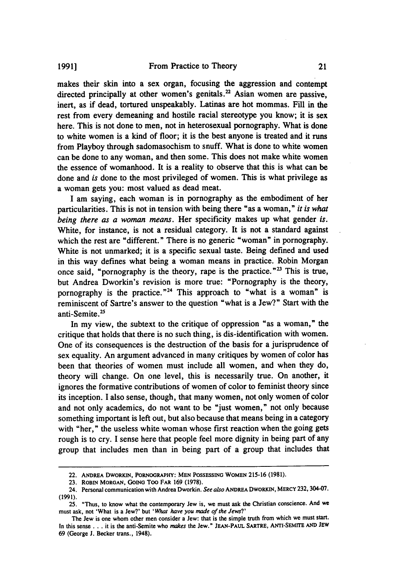**1991]**

makes their skin into a sex organ, focusing the aggression and contempt directed principally at other women's genitals.<sup>22</sup> Asian women are passive, inert, as if dead, tortured unspeakably. Latinas are hot mommas. Fill in the rest from every demeaning and hostile racial stereotype you know; it is sex here. This is not done to men, not in heterosexual pornography. What is done to white women is a kind of floor; it is the best anyone is treated and it runs from Playboy through sadomasochism to snuff. What is done to white women can be done to any woman, and then some. This does not make white women the essence of womanhood. It is a reality to observe that this is what can be done and *is* done to the most privileged of women. This is what privilege as a woman gets you: most valued as dead meat.

I am saying, each woman is in pornography as the embodiment of her particularities. This is not in tension with being there "as a woman," *it is what being there as a woman means.* Her specificity makes up what gender *is.* White, for instance, is not a residual category. It is not a standard against which the rest are "different." There is no generic "woman" in pornography. White is not unmarked; it is a specific sexual taste. Being defined and used in this way defines what being a woman means in practice. Robin Morgan once said, "pornography is the theory, rape is the practice."<sup>23</sup> This is true, but Andrea Dworkin's revision is more true: "Pornography is the theory, pornography is the practice."<sup>24</sup> This approach to "what is a woman" is reminiscent of Sartre's answer to the question "what is a Jew?" Start with the anti-Semite.<sup>25</sup>

In my view, the subtext to the critique of oppression "as a woman," the critique that holds that there is no such thing, is dis-identification with women. One of its consequences is the destruction of the basis for a jurisprudence of sex equality. An argument advanced in many critiques **by** women of color has been that theories of women must include all women, and when they do, theory will change. On one level, this is necessarily true. On another, it ignores the formative contributions of women of color to feminist theory since its inception. **I** also sense, though, that many women, not only women of color and not only academics, do not want to be "just women," not only because something important is left out, but also because that means being in a category with "her," the useless white woman whose first reaction when the going gets rough is to cry. **I** sense here that people feel more dignity in being part of any group that includes men than in being part of a group that includes that

**<sup>22.</sup> ANDREA DwORKIN, PORNOGRAPHY: MEN POSSESSING WOMEN 215-16 (1981).**

**<sup>23.</sup> ROBIN MORGAN, GOING Too FAR 169 (1978).**

**<sup>24.</sup> Personal communication with Andrea Dworkin.** *See also* **ANDREA DWORKIN, MERCY 232, 304-07. (1991).**

**<sup>25.</sup>** "Thus, to know what the contemporary Jew is, we must ask the Christian conscience. And we must ask, not 'What is a Jew?' but *'What have you made of the Jews?'*

The Jew is one whom other men consider a Jew: that is the simple truth from which we must start. In this sense **...** it is the anti-Semite who makes the Jew." **JEAN-PAUL SARTRE, ANTI-SEMITE AND JEW 69** (George **J.** Becker trans., 1948).